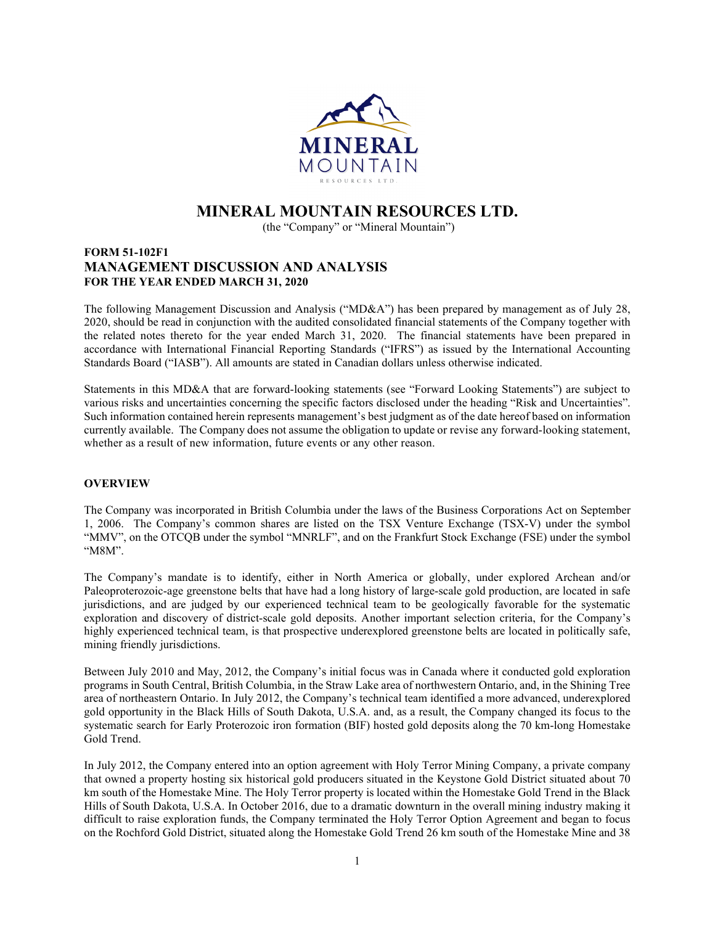

# **MINERAL MOUNTAIN RESOURCES LTD.**

(the "Company" or "Mineral Mountain")

# **FORM 51-102F1 MANAGEMENT DISCUSSION AND ANALYSIS FOR THE YEAR ENDED MARCH 31, 2020**

The following Management Discussion and Analysis ("MD&A") has been prepared by management as of July 28, 2020, should be read in conjunction with the audited consolidated financial statements of the Company together with the related notes thereto for the year ended March 31, 2020. The financial statements have been prepared in accordance with International Financial Reporting Standards ("IFRS") as issued by the International Accounting Standards Board ("IASB"). All amounts are stated in Canadian dollars unless otherwise indicated.

Statements in this MD&A that are forward-looking statements (see "Forward Looking Statements") are subject to various risks and uncertainties concerning the specific factors disclosed under the heading "Risk and Uncertainties". Such information contained herein represents management's best judgment as of the date hereof based on information currently available. The Company does not assume the obligation to update or revise any forward-looking statement, whether as a result of new information, future events or any other reason.

# **OVERVIEW**

The Company was incorporated in British Columbia under the laws of the Business Corporations Act on September 1, 2006. The Company's common shares are listed on the TSX Venture Exchange (TSX-V) under the symbol "MMV", on the OTCQB under the symbol "MNRLF", and on the Frankfurt Stock Exchange (FSE) under the symbol "M8M".

The Company's mandate is to identify, either in North America or globally, under explored Archean and/or Paleoproterozoic-age greenstone belts that have had a long history of large-scale gold production, are located in safe jurisdictions, and are judged by our experienced technical team to be geologically favorable for the systematic exploration and discovery of district-scale gold deposits. Another important selection criteria, for the Company's highly experienced technical team, is that prospective underexplored greenstone belts are located in politically safe, mining friendly jurisdictions.

Between July 2010 and May, 2012, the Company's initial focus was in Canada where it conducted gold exploration programs in South Central, British Columbia, in the Straw Lake area of northwestern Ontario, and, in the Shining Tree area of northeastern Ontario. In July 2012, the Company's technical team identified a more advanced, underexplored gold opportunity in the Black Hills of South Dakota, U.S.A. and, as a result, the Company changed its focus to the systematic search for Early Proterozoic iron formation (BIF) hosted gold deposits along the 70 km-long Homestake Gold Trend.

In July 2012, the Company entered into an option agreement with Holy Terror Mining Company, a private company that owned a property hosting six historical gold producers situated in the Keystone Gold District situated about 70 km south of the Homestake Mine. The Holy Terror property is located within the Homestake Gold Trend in the Black Hills of South Dakota, U.S.A. In October 2016, due to a dramatic downturn in the overall mining industry making it difficult to raise exploration funds, the Company terminated the Holy Terror Option Agreement and began to focus on the Rochford Gold District, situated along the Homestake Gold Trend 26 km south of the Homestake Mine and 38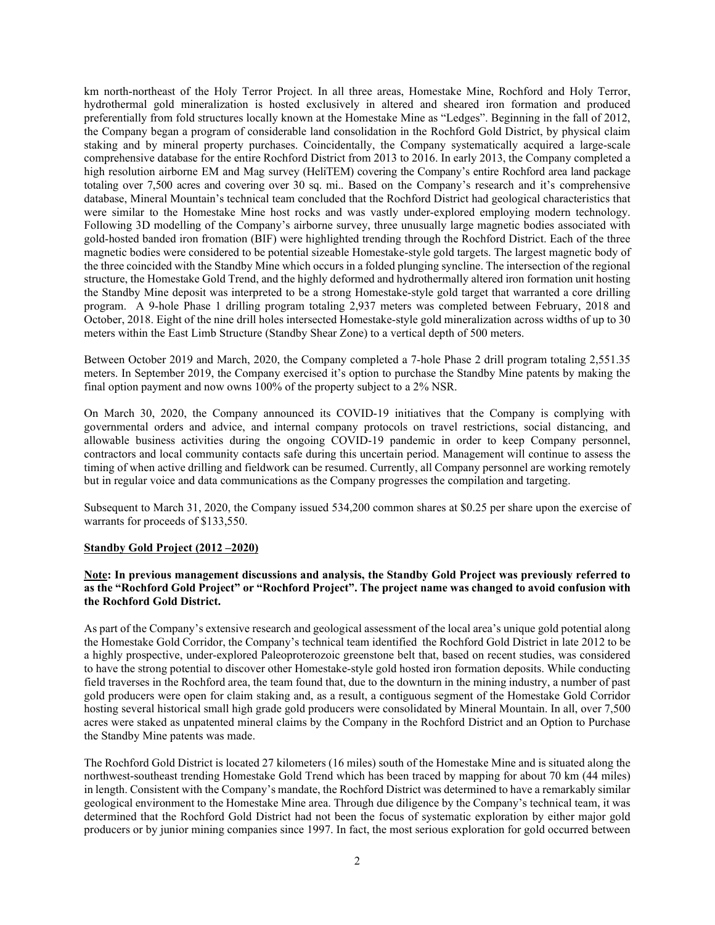km north-northeast of the Holy Terror Project. In all three areas, Homestake Mine, Rochford and Holy Terror, hydrothermal gold mineralization is hosted exclusively in altered and sheared iron formation and produced preferentially from fold structures locally known at the Homestake Mine as "Ledges". Beginning in the fall of 2012, the Company began a program of considerable land consolidation in the Rochford Gold District, by physical claim staking and by mineral property purchases. Coincidentally, the Company systematically acquired a large-scale comprehensive database for the entire Rochford District from 2013 to 2016. In early 2013, the Company completed a high resolution airborne EM and Mag survey (HeliTEM) covering the Company's entire Rochford area land package totaling over 7,500 acres and covering over 30 sq. mi.. Based on the Company's research and it's comprehensive database, Mineral Mountain's technical team concluded that the Rochford District had geological characteristics that were similar to the Homestake Mine host rocks and was vastly under-explored employing modern technology. Following 3D modelling of the Company's airborne survey, three unusually large magnetic bodies associated with gold-hosted banded iron fromation (BIF) were highlighted trending through the Rochford District. Each of the three magnetic bodies were considered to be potential sizeable Homestake-style gold targets. The largest magnetic body of the three coincided with the Standby Mine which occurs in a folded plunging syncline. The intersection of the regional structure, the Homestake Gold Trend, and the highly deformed and hydrothermally altered iron formation unit hosting the Standby Mine deposit was interpreted to be a strong Homestake-style gold target that warranted a core drilling program. A 9-hole Phase 1 drilling program totaling 2,937 meters was completed between February, 2018 and October, 2018. Eight of the nine drill holes intersected Homestake-style gold mineralization across widths of up to 30 meters within the East Limb Structure (Standby Shear Zone) to a vertical depth of 500 meters.

Between October 2019 and March, 2020, the Company completed a 7-hole Phase 2 drill program totaling 2,551.35 meters. In September 2019, the Company exercised it's option to purchase the Standby Mine patents by making the final option payment and now owns 100% of the property subject to a 2% NSR.

On March 30, 2020, the Company announced its COVID-19 initiatives that the Company is complying with governmental orders and advice, and internal company protocols on travel restrictions, social distancing, and allowable business activities during the ongoing COVID-19 pandemic in order to keep Company personnel, contractors and local community contacts safe during this uncertain period. Management will continue to assess the timing of when active drilling and fieldwork can be resumed. Currently, all Company personnel are working remotely but in regular voice and data communications as the Company progresses the compilation and targeting.

Subsequent to March 31, 2020, the Company issued 534,200 common shares at \$0.25 per share upon the exercise of warrants for proceeds of \$133,550.

#### **Standby Gold Project (2012 –2020)**

# **Note: In previous management discussions and analysis, the Standby Gold Project was previously referred to as the "Rochford Gold Project" or "Rochford Project". The project name was changed to avoid confusion with the Rochford Gold District.**

As part of the Company's extensive research and geological assessment of the local area's unique gold potential along the Homestake Gold Corridor, the Company's technical team identified the Rochford Gold District in late 2012 to be a highly prospective, under-explored Paleoproterozoic greenstone belt that, based on recent studies, was considered to have the strong potential to discover other Homestake-style gold hosted iron formation deposits. While conducting field traverses in the Rochford area, the team found that, due to the downturn in the mining industry, a number of past gold producers were open for claim staking and, as a result, a contiguous segment of the Homestake Gold Corridor hosting several historical small high grade gold producers were consolidated by Mineral Mountain. In all, over 7,500 acres were staked as unpatented mineral claims by the Company in the Rochford District and an Option to Purchase the Standby Mine patents was made.

The Rochford Gold District is located 27 kilometers (16 miles) south of the Homestake Mine and is situated along the northwest-southeast trending Homestake Gold Trend which has been traced by mapping for about 70 km (44 miles) in length. Consistent with the Company's mandate, the Rochford District was determined to have a remarkably similar geological environment to the Homestake Mine area. Through due diligence by the Company's technical team, it was determined that the Rochford Gold District had not been the focus of systematic exploration by either major gold producers or by junior mining companies since 1997. In fact, the most serious exploration for gold occurred between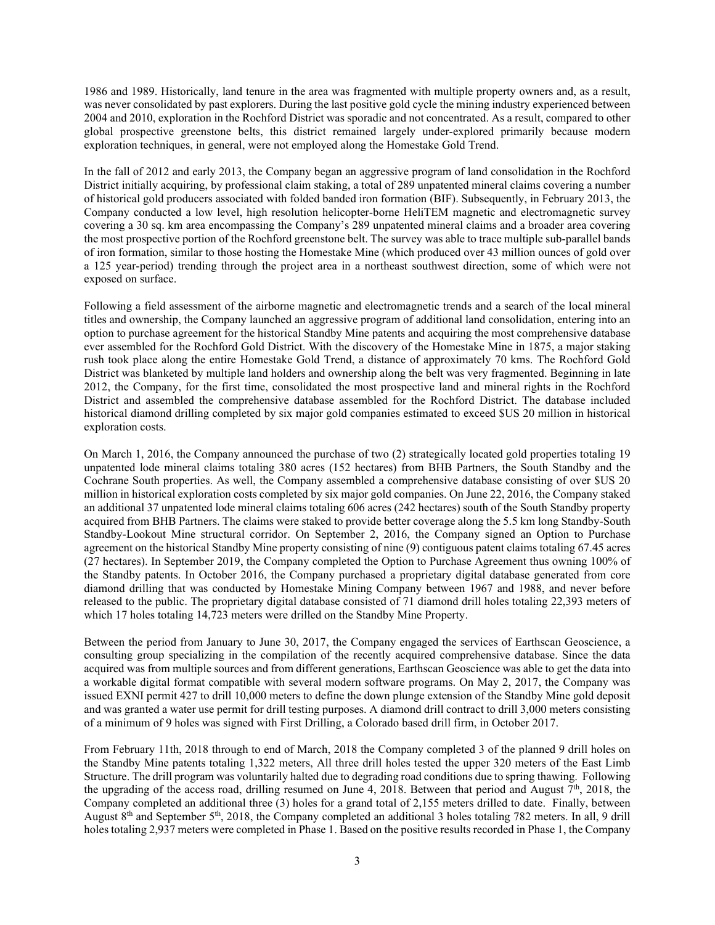1986 and 1989. Historically, land tenure in the area was fragmented with multiple property owners and, as a result, was never consolidated by past explorers. During the last positive gold cycle the mining industry experienced between 2004 and 2010, exploration in the Rochford District was sporadic and not concentrated. As a result, compared to other global prospective greenstone belts, this district remained largely under-explored primarily because modern exploration techniques, in general, were not employed along the Homestake Gold Trend.

In the fall of 2012 and early 2013, the Company began an aggressive program of land consolidation in the Rochford District initially acquiring, by professional claim staking, a total of 289 unpatented mineral claims covering a number of historical gold producers associated with folded banded iron formation (BIF). Subsequently, in February 2013, the Company conducted a low level, high resolution helicopter-borne HeliTEM magnetic and electromagnetic survey covering a 30 sq. km area encompassing the Company's 289 unpatented mineral claims and a broader area covering the most prospective portion of the Rochford greenstone belt. The survey was able to trace multiple sub-parallel bands of iron formation, similar to those hosting the Homestake Mine (which produced over 43 million ounces of gold over a 125 year-period) trending through the project area in a northeast southwest direction, some of which were not exposed on surface.

Following a field assessment of the airborne magnetic and electromagnetic trends and a search of the local mineral titles and ownership, the Company launched an aggressive program of additional land consolidation, entering into an option to purchase agreement for the historical Standby Mine patents and acquiring the most comprehensive database ever assembled for the Rochford Gold District. With the discovery of the Homestake Mine in 1875, a major staking rush took place along the entire Homestake Gold Trend, a distance of approximately 70 kms. The Rochford Gold District was blanketed by multiple land holders and ownership along the belt was very fragmented. Beginning in late 2012, the Company, for the first time, consolidated the most prospective land and mineral rights in the Rochford District and assembled the comprehensive database assembled for the Rochford District. The database included historical diamond drilling completed by six major gold companies estimated to exceed \$US 20 million in historical exploration costs.

On March 1, 2016, the Company announced the purchase of two (2) strategically located gold properties totaling 19 unpatented lode mineral claims totaling 380 acres (152 hectares) from BHB Partners, the South Standby and the Cochrane South properties. As well, the Company assembled a comprehensive database consisting of over \$US 20 million in historical exploration costs completed by six major gold companies. On June 22, 2016, the Company staked an additional 37 unpatented lode mineral claims totaling 606 acres (242 hectares) south of the South Standby property acquired from BHB Partners. The claims were staked to provide better coverage along the 5.5 km long Standby-South Standby-Lookout Mine structural corridor. On September 2, 2016, the Company signed an Option to Purchase agreement on the historical Standby Mine property consisting of nine (9) contiguous patent claims totaling 67.45 acres (27 hectares). In September 2019, the Company completed the Option to Purchase Agreement thus owning 100% of the Standby patents. In October 2016, the Company purchased a proprietary digital database generated from core diamond drilling that was conducted by Homestake Mining Company between 1967 and 1988, and never before released to the public. The proprietary digital database consisted of 71 diamond drill holes totaling 22,393 meters of which 17 holes totaling 14,723 meters were drilled on the Standby Mine Property.

Between the period from January to June 30, 2017, the Company engaged the services of Earthscan Geoscience, a consulting group specializing in the compilation of the recently acquired comprehensive database. Since the data acquired was from multiple sources and from different generations, Earthscan Geoscience was able to get the data into a workable digital format compatible with several modern software programs. On May 2, 2017, the Company was issued EXNI permit 427 to drill 10,000 meters to define the down plunge extension of the Standby Mine gold deposit and was granted a water use permit for drill testing purposes. A diamond drill contract to drill 3,000 meters consisting of a minimum of 9 holes was signed with First Drilling, a Colorado based drill firm, in October 2017.

From February 11th, 2018 through to end of March, 2018 the Company completed 3 of the planned 9 drill holes on the Standby Mine patents totaling 1,322 meters, All three drill holes tested the upper 320 meters of the East Limb Structure. The drill program was voluntarily halted due to degrading road conditions due to spring thawing. Following the upgrading of the access road, drilling resumed on June 4, 2018. Between that period and August  $7<sup>th</sup>$ , 2018, the Company completed an additional three (3) holes for a grand total of 2,155 meters drilled to date. Finally, between August 8<sup>th</sup> and September 5<sup>th</sup>, 2018, the Company completed an additional 3 holes totaling 782 meters. In all, 9 drill holes totaling 2,937 meters were completed in Phase 1. Based on the positive results recorded in Phase 1, the Company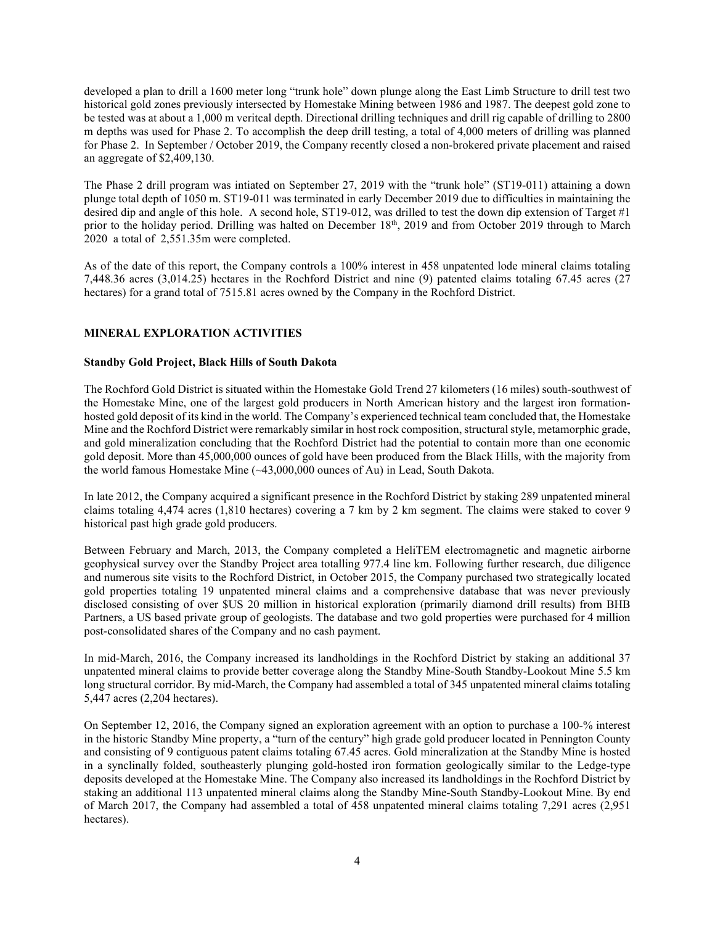developed a plan to drill a 1600 meter long "trunk hole" down plunge along the East Limb Structure to drill test two historical gold zones previously intersected by Homestake Mining between 1986 and 1987. The deepest gold zone to be tested was at about a 1,000 m veritcal depth. Directional drilling techniques and drill rig capable of drilling to 2800 m depths was used for Phase 2. To accomplish the deep drill testing, a total of 4,000 meters of drilling was planned for Phase 2. In September / October 2019, the Company recently closed a non-brokered private placement and raised an aggregate of \$2,409,130.

The Phase 2 drill program was intiated on September 27, 2019 with the "trunk hole" (ST19-011) attaining a down plunge total depth of 1050 m. ST19-011 was terminated in early December 2019 due to difficulties in maintaining the desired dip and angle of this hole. A second hole, ST19-012, was drilled to test the down dip extension of Target #1 prior to the holiday period. Drilling was halted on December 18<sup>th</sup>, 2019 and from October 2019 through to March 2020 a total of 2,551.35m were completed.

As of the date of this report, the Company controls a 100% interest in 458 unpatented lode mineral claims totaling 7,448.36 acres (3,014.25) hectares in the Rochford District and nine (9) patented claims totaling 67.45 acres (27 hectares) for a grand total of 7515.81 acres owned by the Company in the Rochford District.

# **MINERAL EXPLORATION ACTIVITIES**

#### **Standby Gold Project, Black Hills of South Dakota**

The Rochford Gold District is situated within the Homestake Gold Trend 27 kilometers (16 miles) south-southwest of the Homestake Mine, one of the largest gold producers in North American history and the largest iron formationhosted gold deposit of its kind in the world. The Company's experienced technical team concluded that, the Homestake Mine and the Rochford District were remarkably similar in host rock composition, structural style, metamorphic grade, and gold mineralization concluding that the Rochford District had the potential to contain more than one economic gold deposit. More than 45,000,000 ounces of gold have been produced from the Black Hills, with the majority from the world famous Homestake Mine (~43,000,000 ounces of Au) in Lead, South Dakota.

In late 2012, the Company acquired a significant presence in the Rochford District by staking 289 unpatented mineral claims totaling 4,474 acres (1,810 hectares) covering a 7 km by 2 km segment. The claims were staked to cover 9 historical past high grade gold producers.

Between February and March, 2013, the Company completed a HeliTEM electromagnetic and magnetic airborne geophysical survey over the Standby Project area totalling 977.4 line km. Following further research, due diligence and numerous site visits to the Rochford District, in October 2015, the Company purchased two strategically located gold properties totaling 19 unpatented mineral claims and a comprehensive database that was never previously disclosed consisting of over \$US 20 million in historical exploration (primarily diamond drill results) from BHB Partners, a US based private group of geologists. The database and two gold properties were purchased for 4 million post-consolidated shares of the Company and no cash payment.

In mid-March, 2016, the Company increased its landholdings in the Rochford District by staking an additional 37 unpatented mineral claims to provide better coverage along the Standby Mine-South Standby-Lookout Mine 5.5 km long structural corridor. By mid-March, the Company had assembled a total of 345 unpatented mineral claims totaling 5,447 acres (2,204 hectares).

On September 12, 2016, the Company signed an exploration agreement with an option to purchase a 100-% interest in the historic Standby Mine property, a "turn of the century" high grade gold producer located in Pennington County and consisting of 9 contiguous patent claims totaling 67.45 acres. Gold mineralization at the Standby Mine is hosted in a synclinally folded, southeasterly plunging gold-hosted iron formation geologically similar to the Ledge-type deposits developed at the Homestake Mine. The Company also increased its landholdings in the Rochford District by staking an additional 113 unpatented mineral claims along the Standby Mine-South Standby-Lookout Mine. By end of March 2017, the Company had assembled a total of 458 unpatented mineral claims totaling 7,291 acres (2,951 hectares).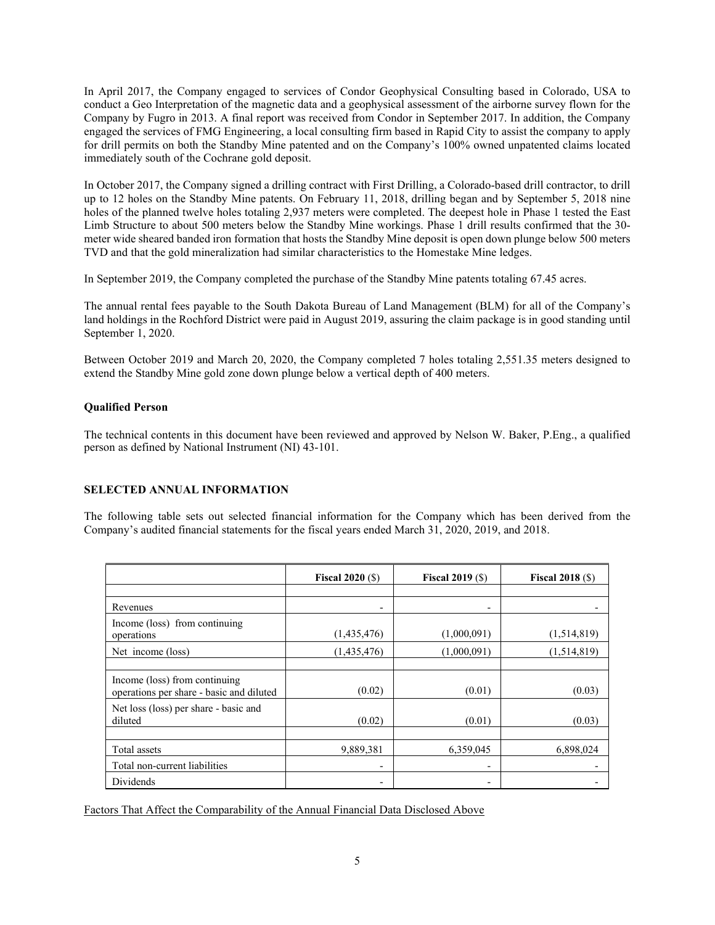In April 2017, the Company engaged to services of Condor Geophysical Consulting based in Colorado, USA to conduct a Geo Interpretation of the magnetic data and a geophysical assessment of the airborne survey flown for the Company by Fugro in 2013. A final report was received from Condor in September 2017. In addition, the Company engaged the services of FMG Engineering, a local consulting firm based in Rapid City to assist the company to apply for drill permits on both the Standby Mine patented and on the Company's 100% owned unpatented claims located immediately south of the Cochrane gold deposit.

In October 2017, the Company signed a drilling contract with First Drilling, a Colorado-based drill contractor, to drill up to 12 holes on the Standby Mine patents. On February 11, 2018, drilling began and by September 5, 2018 nine holes of the planned twelve holes totaling 2,937 meters were completed. The deepest hole in Phase 1 tested the East Limb Structure to about 500 meters below the Standby Mine workings. Phase 1 drill results confirmed that the 30 meter wide sheared banded iron formation that hosts the Standby Mine deposit is open down plunge below 500 meters TVD and that the gold mineralization had similar characteristics to the Homestake Mine ledges.

In September 2019, the Company completed the purchase of the Standby Mine patents totaling 67.45 acres.

The annual rental fees payable to the South Dakota Bureau of Land Management (BLM) for all of the Company's land holdings in the Rochford District were paid in August 2019, assuring the claim package is in good standing until September 1, 2020.

Between October 2019 and March 20, 2020, the Company completed 7 holes totaling 2,551.35 meters designed to extend the Standby Mine gold zone down plunge below a vertical depth of 400 meters.

# **Qualified Person**

The technical contents in this document have been reviewed and approved by Nelson W. Baker, P.Eng., a qualified person as defined by National Instrument (NI) 43-101.

# **SELECTED ANNUAL INFORMATION**

The following table sets out selected financial information for the Company which has been derived from the Company's audited financial statements for the fiscal years ended March 31, 2020, 2019, and 2018.

|                                                                           | <b>Fiscal 2020 (\$)</b> | <b>Fiscal 2019 (\$)</b> | <b>Fiscal 2018 (\$)</b> |  |
|---------------------------------------------------------------------------|-------------------------|-------------------------|-------------------------|--|
|                                                                           |                         |                         |                         |  |
| Revenues                                                                  | -                       | -                       |                         |  |
| Income (loss) from continuing<br>operations                               | (1,435,476)             | (1,000,091)             | (1,514,819)             |  |
| Net income (loss)                                                         | (1,435,476)             | (1,000,091)             | (1,514,819)             |  |
|                                                                           |                         |                         |                         |  |
| Income (loss) from continuing<br>operations per share - basic and diluted | (0.02)                  | (0.01)                  | (0.03)                  |  |
| Net loss (loss) per share - basic and<br>diluted                          | (0.02)                  | (0.01)                  | (0.03)                  |  |
| Total assets                                                              | 9,889,381               | 6,359,045               | 6,898,024               |  |
| Total non-current liabilities                                             | -                       | -                       |                         |  |
| Dividends                                                                 | -                       |                         |                         |  |

Factors That Affect the Comparability of the Annual Financial Data Disclosed Above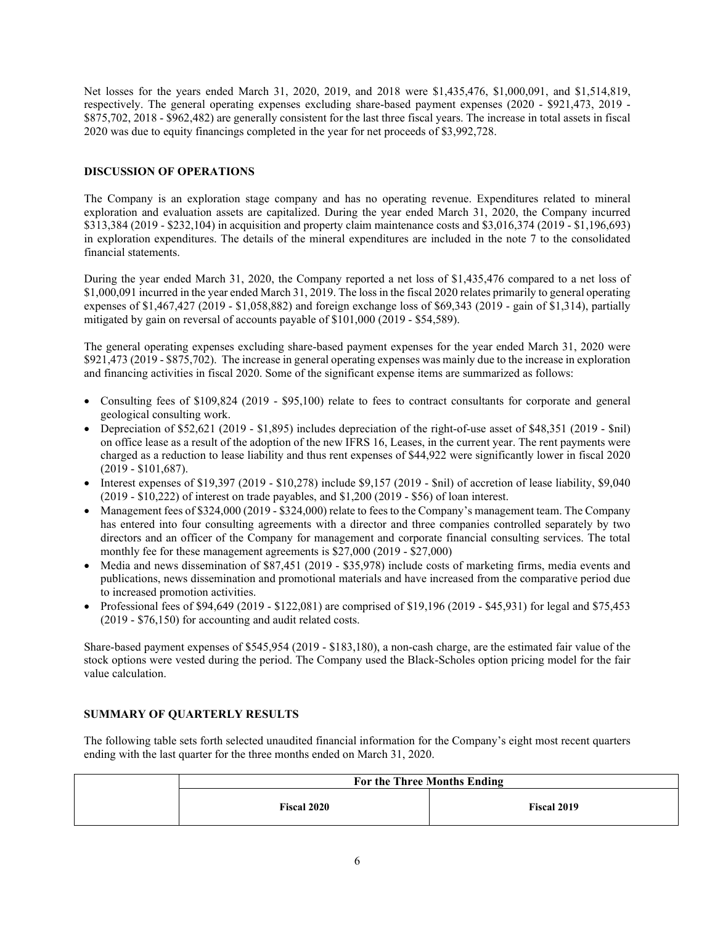Net losses for the years ended March 31, 2020, 2019, and 2018 were \$1,435,476, \$1,000,091, and \$1,514,819, respectively. The general operating expenses excluding share-based payment expenses (2020 - \$921,473, 2019 - \$875,702, 2018 - \$962,482) are generally consistent for the last three fiscal years. The increase in total assets in fiscal 2020 was due to equity financings completed in the year for net proceeds of \$3,992,728.

# **DISCUSSION OF OPERATIONS**

The Company is an exploration stage company and has no operating revenue. Expenditures related to mineral exploration and evaluation assets are capitalized. During the year ended March 31, 2020, the Company incurred \$313,384 (2019 - \$232,104) in acquisition and property claim maintenance costs and \$3,016,374 (2019 - \$1,196,693) in exploration expenditures. The details of the mineral expenditures are included in the note 7 to the consolidated financial statements.

During the year ended March 31, 2020, the Company reported a net loss of \$1,435,476 compared to a net loss of \$1,000,091 incurred in the year ended March 31, 2019. The loss in the fiscal 2020 relates primarily to general operating expenses of \$1,467,427 (2019 - \$1,058,882) and foreign exchange loss of \$69,343 (2019 - gain of \$1,314), partially mitigated by gain on reversal of accounts payable of \$101,000 (2019 - \$54,589).

The general operating expenses excluding share-based payment expenses for the year ended March 31, 2020 were \$921,473 (2019 - \$875,702). The increase in general operating expenses was mainly due to the increase in exploration and financing activities in fiscal 2020. Some of the significant expense items are summarized as follows:

- Consulting fees of \$109,824 (2019 \$95,100) relate to fees to contract consultants for corporate and general geological consulting work.
- Depreciation of \$52,621 (2019 \$1,895) includes depreciation of the right-of-use asset of \$48,351 (2019 \$nil) on office lease as a result of the adoption of the new IFRS 16, Leases, in the current year. The rent payments were charged as a reduction to lease liability and thus rent expenses of \$44,922 were significantly lower in fiscal 2020 (2019 - \$101,687).
- Interest expenses of  $$19,397$  (2019  $$10,278$ ) include  $$9,157$  (2019  $$nil$ ) of accretion of lease liability,  $$9,040$ (2019 - \$10,222) of interest on trade payables, and \$1,200 (2019 - \$56) of loan interest.
- Management fees of \$324,000 (2019 \$324,000) relate to fees to the Company's management team. The Company has entered into four consulting agreements with a director and three companies controlled separately by two directors and an officer of the Company for management and corporate financial consulting services. The total monthly fee for these management agreements is \$27,000 (2019 - \$27,000)
- Media and news dissemination of \$87,451 (2019 \$35,978) include costs of marketing firms, media events and publications, news dissemination and promotional materials and have increased from the comparative period due to increased promotion activities.
- Professional fees of \$94,649 (2019 \$122,081) are comprised of \$19,196 (2019 \$45,931) for legal and \$75,453 (2019 - \$76,150) for accounting and audit related costs.

Share-based payment expenses of \$545,954 (2019 - \$183,180), a non-cash charge, are the estimated fair value of the stock options were vested during the period. The Company used the Black-Scholes option pricing model for the fair value calculation.

# **SUMMARY OF QUARTERLY RESULTS**

The following table sets forth selected unaudited financial information for the Company's eight most recent quarters ending with the last quarter for the three months ended on March 31, 2020.

| For the Three Months Ending |                    |  |
|-----------------------------|--------------------|--|
| <b>Fiscal 2020</b>          | <b>Fiscal 2019</b> |  |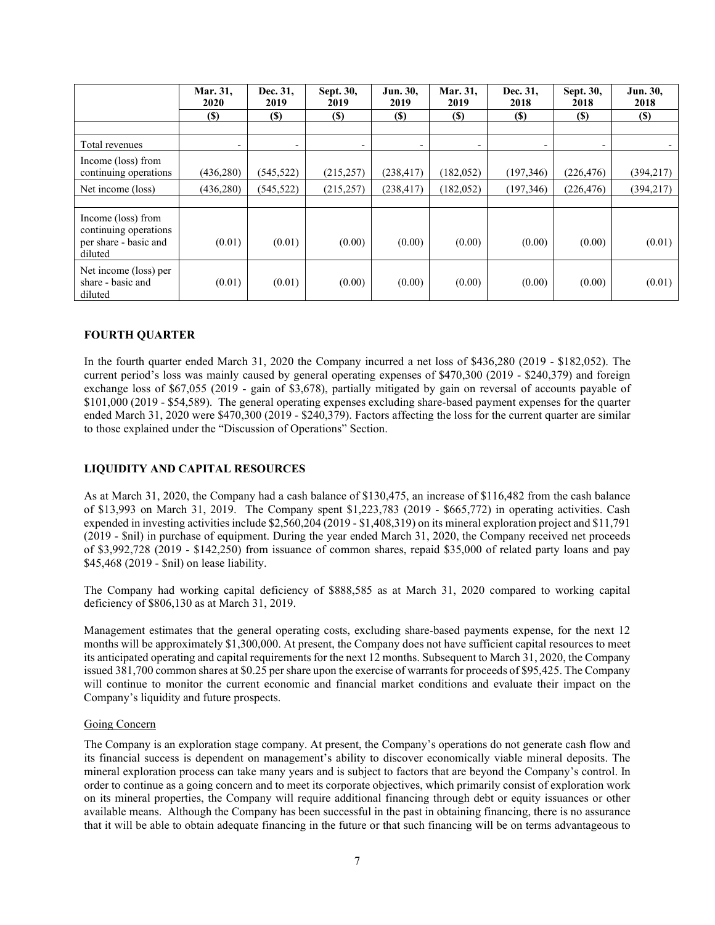|                                                                                 | Mar. 31,<br><b>2020</b>  | Dec. 31,<br>2019         | Sept. 30,<br>2019        | Jun. 30,<br>2019         | Mar. 31,<br>2019 | Dec. 31,<br>2018 | Sept. 30,<br>2018        | Jun. 30,<br>2018 |
|---------------------------------------------------------------------------------|--------------------------|--------------------------|--------------------------|--------------------------|------------------|------------------|--------------------------|------------------|
|                                                                                 | <b>(\$)</b>              | <b>(\$)</b>              | <b>(\$)</b>              | (S)                      | <b>(\$)</b>      | <b>(\$)</b>      | <b>(S)</b>               | <b>(S)</b>       |
|                                                                                 |                          |                          |                          |                          |                  |                  |                          |                  |
| Total revenues                                                                  | $\overline{\phantom{a}}$ | $\overline{\phantom{a}}$ | $\overline{\phantom{a}}$ | $\overline{\phantom{a}}$ | -                | -                | $\overline{\phantom{a}}$ |                  |
| Income (loss) from<br>continuing operations                                     | (436, 280)               | (545, 522)               | (215, 257)               | (238, 417)               | (182, 052)       | (197, 346)       | (226, 476)               | (394, 217)       |
| Net income (loss)                                                               | (436, 280)               | (545, 522)               | (215, 257)               | (238, 417)               | (182, 052)       | (197, 346)       | (226, 476)               | (394, 217)       |
|                                                                                 |                          |                          |                          |                          |                  |                  |                          |                  |
| Income (loss) from<br>continuing operations<br>per share - basic and<br>diluted | (0.01)                   | (0.01)                   | (0.00)                   | (0.00)                   | (0.00)           | (0.00)           | (0.00)                   | (0.01)           |
| Net income (loss) per<br>share - basic and<br>diluted                           | (0.01)                   | (0.01)                   | (0.00)                   | (0.00)                   | (0.00)           | (0.00)           | (0.00)                   | (0.01)           |

#### **FOURTH QUARTER**

In the fourth quarter ended March 31, 2020 the Company incurred a net loss of \$436,280 (2019 - \$182,052). The current period's loss was mainly caused by general operating expenses of \$470,300 (2019 - \$240,379) and foreign exchange loss of \$67,055 (2019 - gain of \$3,678), partially mitigated by gain on reversal of accounts payable of \$101,000 (2019 - \$54,589). The general operating expenses excluding share-based payment expenses for the quarter ended March 31, 2020 were \$470,300 (2019 - \$240,379). Factors affecting the loss for the current quarter are similar to those explained under the "Discussion of Operations" Section.

#### **LIQUIDITY AND CAPITAL RESOURCES**

As at March 31, 2020, the Company had a cash balance of \$130,475, an increase of \$116,482 from the cash balance of \$13,993 on March 31, 2019. The Company spent \$1,223,783 (2019 - \$665,772) in operating activities. Cash expended in investing activities include \$2,560,204 (2019 - \$1,408,319) on its mineral exploration project and \$11,791 (2019 - \$nil) in purchase of equipment. During the year ended March 31, 2020, the Company received net proceeds of \$3,992,728 (2019 - \$142,250) from issuance of common shares, repaid \$35,000 of related party loans and pay \$45,468 (2019 - \$nil) on lease liability.

The Company had working capital deficiency of \$888,585 as at March 31, 2020 compared to working capital deficiency of \$806,130 as at March 31, 2019.

Management estimates that the general operating costs, excluding share-based payments expense, for the next 12 months will be approximately \$1,300,000. At present, the Company does not have sufficient capital resources to meet its anticipated operating and capital requirements for the next 12 months. Subsequent to March 31, 2020, the Company issued 381,700 common shares at \$0.25 per share upon the exercise of warrants for proceeds of \$95,425. The Company will continue to monitor the current economic and financial market conditions and evaluate their impact on the Company's liquidity and future prospects.

#### Going Concern

The Company is an exploration stage company. At present, the Company's operations do not generate cash flow and its financial success is dependent on management's ability to discover economically viable mineral deposits. The mineral exploration process can take many years and is subject to factors that are beyond the Company's control. In order to continue as a going concern and to meet its corporate objectives, which primarily consist of exploration work on its mineral properties, the Company will require additional financing through debt or equity issuances or other available means. Although the Company has been successful in the past in obtaining financing, there is no assurance that it will be able to obtain adequate financing in the future or that such financing will be on terms advantageous to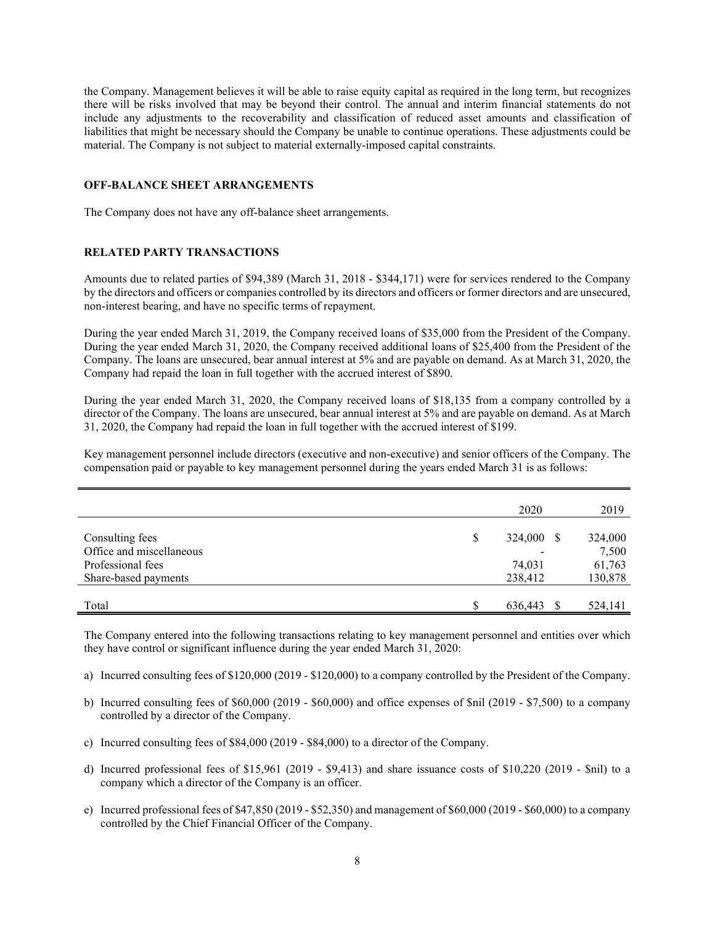the Company. Management believes it will be able to raise equity capital as required in the long term, but recognizes there will be risks involved that may be beyond their control. The annual and interim financial statements do not include any adjustments to the recoverability and classification of reduced asset amounts and classification of liabilities that might be necessary should the Company be unable to continue operations. These adjustments could be material. The Company is not subject to material externally-imposed capital constraints.

#### **OFF-BALANCE SHEET ARRANGEMENTS**

The Company does not have any off-balance sheet arrangements.

# **RELATED PARTY TRANSACTIONS**

Amounts due to related parties of \$94,389 (March 31, 2018 - \$344,171) were for services rendered to the Company by the directors and officers or companies controlled by its directors and officers or former directors and are unsecured, non-interest bearing, and have no specific terms of repayment.

During the year ended March 31, 2019, the Company received loans of \$35,000 from the President of the Company. During the year ended March 31, 2020, the Company received additional loans of \$25,400 from the President of the Company. The loans are unsecured, bear annual interest at 5% and are payable on demand. As at March 31, 2020, the Company had repaid the loan in full together with the accrued interest of \$890.

During the year ended March 31, 2020, the Company received loans of \$18,135 from a company controlled by a director of the Company. The loans are unsecured, bear annual interest at 5% and are payable on demand. As at March 31, 2020, the Company had repaid the loan in full together with the accrued interest of \$199.

Key management personnel include directors (executive and non-executive) and senior officers of the Company. The compensation paid or payable to key management personnel during the years ended March 31 is as follows:

|                                                                                          |    | 2020                            | 2019                                  |
|------------------------------------------------------------------------------------------|----|---------------------------------|---------------------------------------|
| Consulting fees<br>Office and miscellaneous<br>Professional fees<br>Share-based payments | \$ | 324,000 \$<br>74,031<br>238,412 | 324,000<br>7,500<br>61,763<br>130,878 |
| Total                                                                                    | S  | 636,443                         | 524,141                               |

The Company entered into the following transactions relating to key management personnel and entities over which they have control or significant influence during the year ended March 31, 2020:

- a) Incurred consulting fees of \$120,000 (2019 \$120,000) to a company controlled by the President of the Company.
- b) Incurred consulting fees of \$60,000 (2019 \$60,000) and office expenses of \$nil (2019 \$7,500) to a company controlled by a director of the Company.
- c) Incurred consulting fees of \$84,000 (2019 \$84,000) to a director of the Company.
- d) Incurred professional fees of \$15,961 (2019 \$9,413) and share issuance costs of \$10,220 (2019 \$nil) to a company which a director of the Company is an officer.
- e) Incurred professional fees of \$47,850 (2019 \$52,350) and management of \$60,000 (2019 \$60,000) to a company controlled by the Chief Financial Officer of the Company.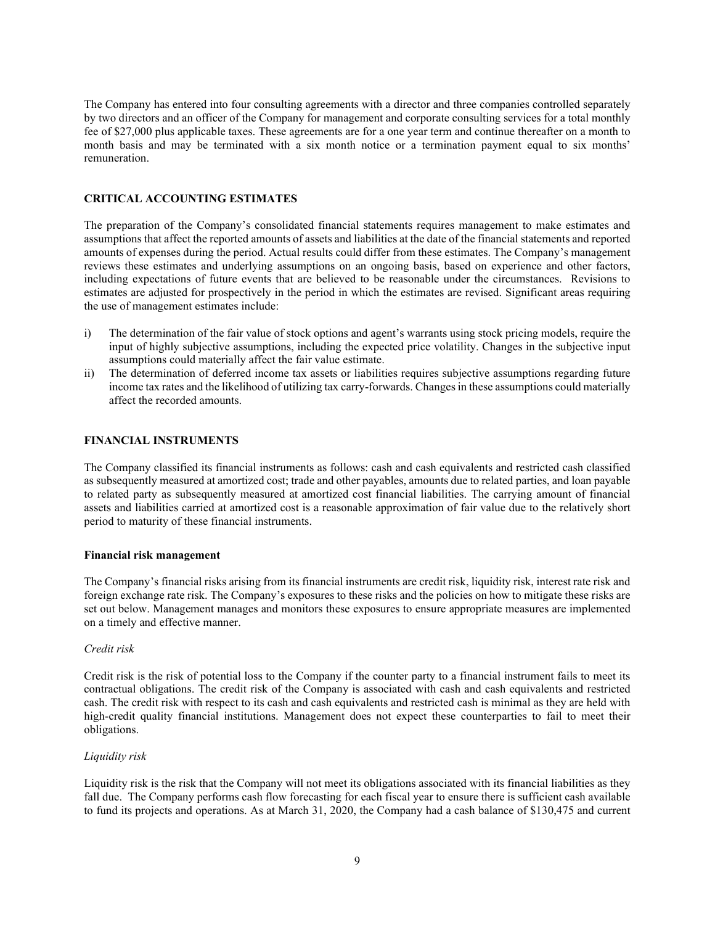The Company has entered into four consulting agreements with a director and three companies controlled separately by two directors and an officer of the Company for management and corporate consulting services for a total monthly fee of \$27,000 plus applicable taxes. These agreements are for a one year term and continue thereafter on a month to month basis and may be terminated with a six month notice or a termination payment equal to six months' remuneration.

### **CRITICAL ACCOUNTING ESTIMATES**

The preparation of the Company's consolidated financial statements requires management to make estimates and assumptions that affect the reported amounts of assets and liabilities at the date of the financial statements and reported amounts of expenses during the period. Actual results could differ from these estimates. The Company's management reviews these estimates and underlying assumptions on an ongoing basis, based on experience and other factors, including expectations of future events that are believed to be reasonable under the circumstances. Revisions to estimates are adjusted for prospectively in the period in which the estimates are revised. Significant areas requiring the use of management estimates include:

- i) The determination of the fair value of stock options and agent's warrants using stock pricing models, require the input of highly subjective assumptions, including the expected price volatility. Changes in the subjective input assumptions could materially affect the fair value estimate.
- ii) The determination of deferred income tax assets or liabilities requires subjective assumptions regarding future income tax rates and the likelihood of utilizing tax carry-forwards. Changes in these assumptions could materially affect the recorded amounts.

# **FINANCIAL INSTRUMENTS**

The Company classified its financial instruments as follows: cash and cash equivalents and restricted cash classified as subsequently measured at amortized cost; trade and other payables, amounts due to related parties, and loan payable to related party as subsequently measured at amortized cost financial liabilities. The carrying amount of financial assets and liabilities carried at amortized cost is a reasonable approximation of fair value due to the relatively short period to maturity of these financial instruments.

#### **Financial risk management**

The Company's financial risks arising from its financial instruments are credit risk, liquidity risk, interest rate risk and foreign exchange rate risk. The Company's exposures to these risks and the policies on how to mitigate these risks are set out below. Management manages and monitors these exposures to ensure appropriate measures are implemented on a timely and effective manner.

#### *Credit risk*

Credit risk is the risk of potential loss to the Company if the counter party to a financial instrument fails to meet its contractual obligations. The credit risk of the Company is associated with cash and cash equivalents and restricted cash. The credit risk with respect to its cash and cash equivalents and restricted cash is minimal as they are held with high-credit quality financial institutions. Management does not expect these counterparties to fail to meet their obligations.

#### *Liquidity risk*

Liquidity risk is the risk that the Company will not meet its obligations associated with its financial liabilities as they fall due. The Company performs cash flow forecasting for each fiscal year to ensure there is sufficient cash available to fund its projects and operations. As at March 31, 2020, the Company had a cash balance of \$130,475 and current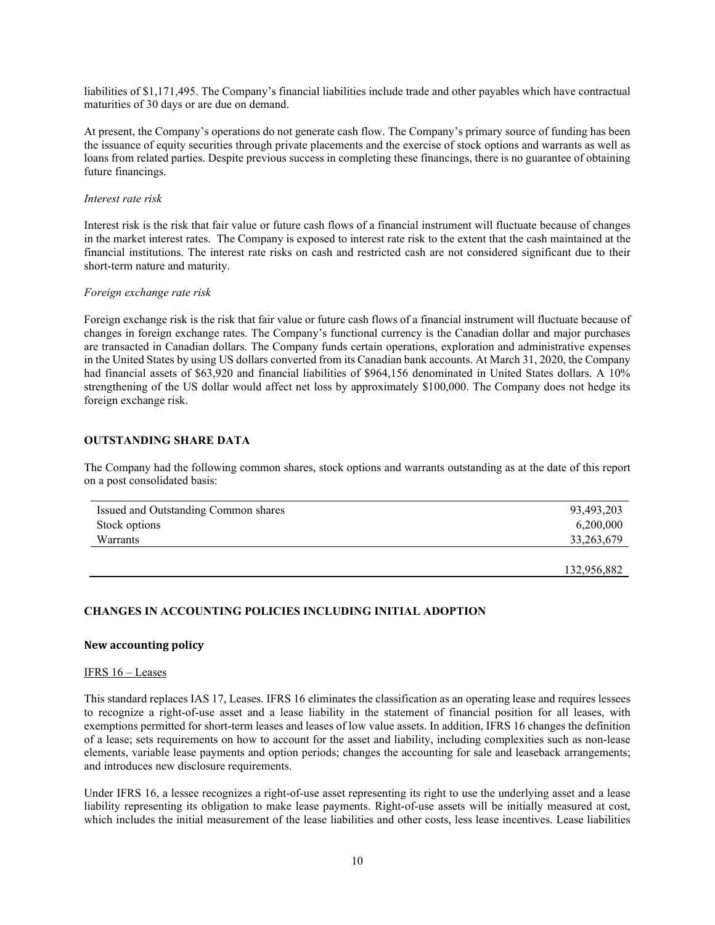liabilities of \$1,171,495. The Company's financial liabilities include trade and other payables which have contractual maturities of 30 days or are due on demand.

At present, the Company's operations do not generate cash flow. The Company's primary source of funding has been the issuance of equity securities through private placements and the exercise of stock options and warrants as well as loans from related parties. Despite previous success in completing these financings, there is no guarantee of obtaining future financings.

#### *Interest rate risk*

Interest risk is the risk that fair value or future cash flows of a financial instrument will fluctuate because of changes in the market interest rates. The Company is exposed to interest rate risk to the extent that the cash maintained at the financial institutions. The interest rate risks on cash and restricted cash are not considered significant due to their short-term nature and maturity.

#### *Foreign exchange rate risk*

Foreign exchange risk is the risk that fair value or future cash flows of a financial instrument will fluctuate because of changes in foreign exchange rates. The Company's functional currency is the Canadian dollar and major purchases are transacted in Canadian dollars. The Company funds certain operations, exploration and administrative expenses in the United States by using US dollars converted from its Canadian bank accounts. At March 31, 2020, the Company had financial assets of \$63,920 and financial liabilities of \$964,156 denominated in United States dollars. A 10% strengthening of the US dollar would affect net loss by approximately \$100,000. The Company does not hedge its foreign exchange risk.

# **OUTSTANDING SHARE DATA**

The Company had the following common shares, stock options and warrants outstanding as at the date of this report on a post consolidated basis:

| Issued and Outstanding Common shares | 93,493,203   |
|--------------------------------------|--------------|
| Stock options                        | 6,200,000    |
| Warrants                             | 33, 263, 679 |
|                                      |              |
|                                      | 132,956,882  |

# **CHANGES IN ACCOUNTING POLICIES INCLUDING INITIAL ADOPTION**

#### **New accounting policy**

#### IFRS 16 – Leases

This standard replaces IAS 17, Leases. IFRS 16 eliminates the classification as an operating lease and requires lessees to recognize a right-of-use asset and a lease liability in the statement of financial position for all leases, with exemptions permitted for short-term leases and leases of low value assets. In addition, IFRS 16 changes the definition of a lease; sets requirements on how to account for the asset and liability, including complexities such as non-lease elements, variable lease payments and option periods; changes the accounting for sale and leaseback arrangements; and introduces new disclosure requirements.

Under IFRS 16, a lessee recognizes a right-of-use asset representing its right to use the underlying asset and a lease liability representing its obligation to make lease payments. Right-of-use assets will be initially measured at cost, which includes the initial measurement of the lease liabilities and other costs, less lease incentives. Lease liabilities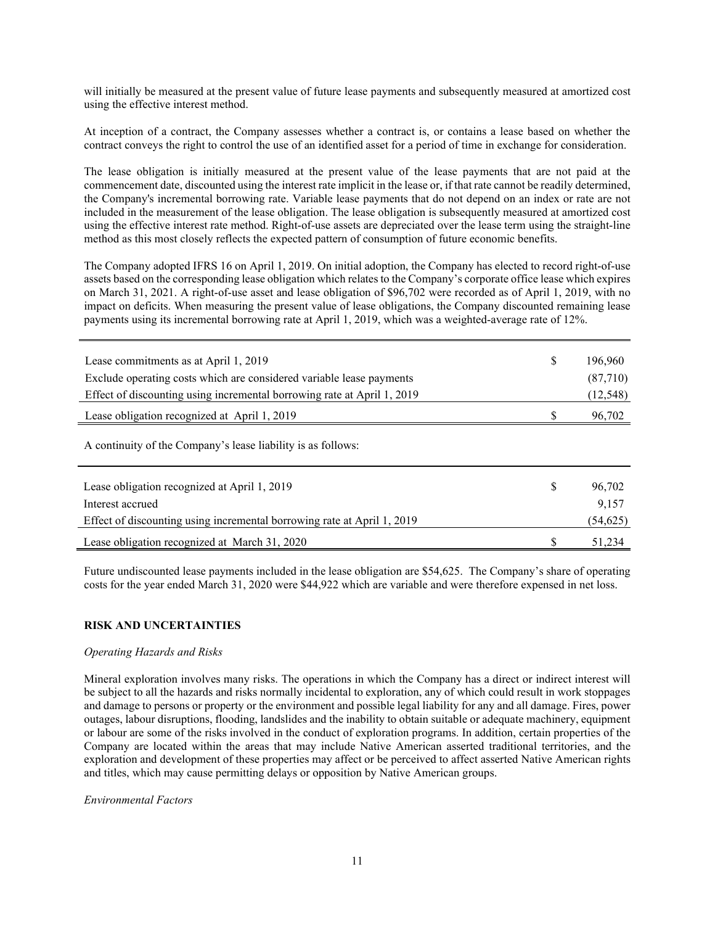will initially be measured at the present value of future lease payments and subsequently measured at amortized cost using the effective interest method.

At inception of a contract, the Company assesses whether a contract is, or contains a lease based on whether the contract conveys the right to control the use of an identified asset for a period of time in exchange for consideration.

The lease obligation is initially measured at the present value of the lease payments that are not paid at the commencement date, discounted using the interest rate implicit in the lease or, if that rate cannot be readily determined, the Company's incremental borrowing rate. Variable lease payments that do not depend on an index or rate are not included in the measurement of the lease obligation. The lease obligation is subsequently measured at amortized cost using the effective interest rate method. Right-of-use assets are depreciated over the lease term using the straight-line method as this most closely reflects the expected pattern of consumption of future economic benefits.

The Company adopted IFRS 16 on April 1, 2019. On initial adoption, the Company has elected to record right-of-use assets based on the corresponding lease obligation which relates to the Company's corporate office lease which expires on March 31, 2021. A right-of-use asset and lease obligation of \$96,702 were recorded as of April 1, 2019, with no impact on deficits. When measuring the present value of lease obligations, the Company discounted remaining lease payments using its incremental borrowing rate at April 1, 2019, which was a weighted-average rate of 12%.

| Lease commitments as at April 1, 2019                                   | S | 196,960   |
|-------------------------------------------------------------------------|---|-----------|
|                                                                         |   |           |
| Exclude operating costs which are considered variable lease payments    |   | (87,710)  |
| Effect of discounting using incremental borrowing rate at April 1, 2019 |   | (12, 548) |
| Lease obligation recognized at April 1, 2019                            |   | 96,702    |
| A continuity of the Company's lease liability is as follows:            |   |           |
| Lease obligation recognized at April 1, 2019                            | S | 96,702    |
| Interest accrued                                                        |   | 9,157     |
|                                                                         |   |           |
| Effect of discounting using incremental borrowing rate at April 1, 2019 |   | (54, 625) |
| Lease obligation recognized at March 31, 2020                           | S | 51,234    |

Future undiscounted lease payments included in the lease obligation are \$54,625. The Company's share of operating costs for the year ended March 31, 2020 were \$44,922 which are variable and were therefore expensed in net loss.

#### **RISK AND UNCERTAINTIES**

#### *Operating Hazards and Risks*

Mineral exploration involves many risks. The operations in which the Company has a direct or indirect interest will be subject to all the hazards and risks normally incidental to exploration, any of which could result in work stoppages and damage to persons or property or the environment and possible legal liability for any and all damage. Fires, power outages, labour disruptions, flooding, landslides and the inability to obtain suitable or adequate machinery, equipment or labour are some of the risks involved in the conduct of exploration programs. In addition, certain properties of the Company are located within the areas that may include Native American asserted traditional territories, and the exploration and development of these properties may affect or be perceived to affect asserted Native American rights and titles, which may cause permitting delays or opposition by Native American groups.

*Environmental Factors*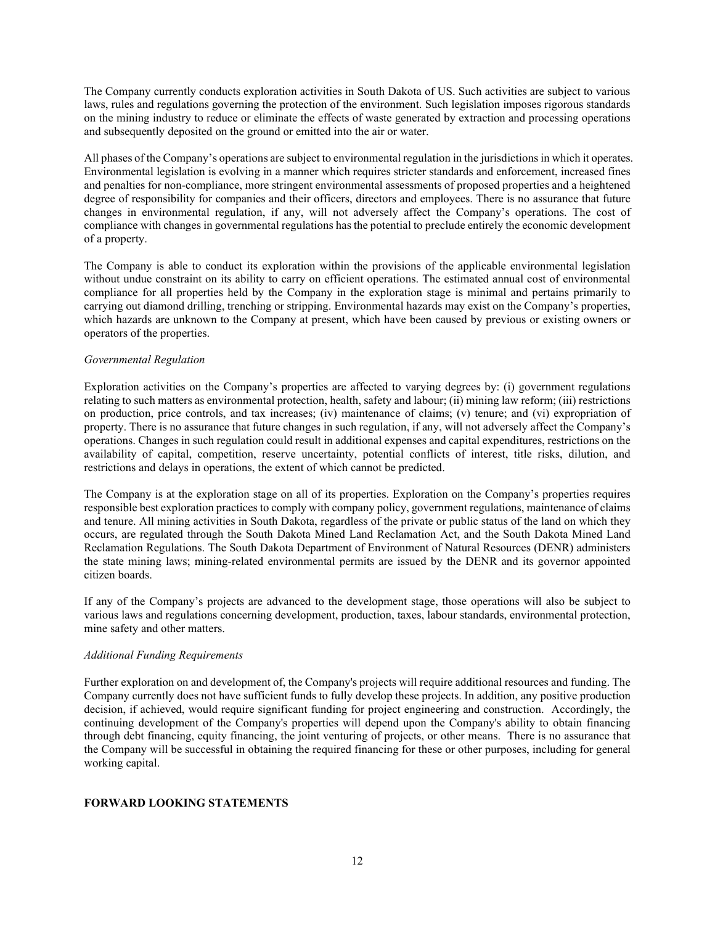The Company currently conducts exploration activities in South Dakota of US. Such activities are subject to various laws, rules and regulations governing the protection of the environment. Such legislation imposes rigorous standards on the mining industry to reduce or eliminate the effects of waste generated by extraction and processing operations and subsequently deposited on the ground or emitted into the air or water.

All phases of the Company's operations are subject to environmental regulation in the jurisdictions in which it operates. Environmental legislation is evolving in a manner which requires stricter standards and enforcement, increased fines and penalties for non-compliance, more stringent environmental assessments of proposed properties and a heightened degree of responsibility for companies and their officers, directors and employees. There is no assurance that future changes in environmental regulation, if any, will not adversely affect the Company's operations. The cost of compliance with changes in governmental regulations has the potential to preclude entirely the economic development of a property.

The Company is able to conduct its exploration within the provisions of the applicable environmental legislation without undue constraint on its ability to carry on efficient operations. The estimated annual cost of environmental compliance for all properties held by the Company in the exploration stage is minimal and pertains primarily to carrying out diamond drilling, trenching or stripping. Environmental hazards may exist on the Company's properties, which hazards are unknown to the Company at present, which have been caused by previous or existing owners or operators of the properties.

# *Governmental Regulation*

Exploration activities on the Company's properties are affected to varying degrees by: (i) government regulations relating to such matters as environmental protection, health, safety and labour; (ii) mining law reform; (iii) restrictions on production, price controls, and tax increases; (iv) maintenance of claims; (v) tenure; and (vi) expropriation of property. There is no assurance that future changes in such regulation, if any, will not adversely affect the Company's operations. Changes in such regulation could result in additional expenses and capital expenditures, restrictions on the availability of capital, competition, reserve uncertainty, potential conflicts of interest, title risks, dilution, and restrictions and delays in operations, the extent of which cannot be predicted.

The Company is at the exploration stage on all of its properties. Exploration on the Company's properties requires responsible best exploration practices to comply with company policy, government regulations, maintenance of claims and tenure. All mining activities in South Dakota, regardless of the private or public status of the land on which they occurs, are regulated through the South Dakota Mined Land Reclamation Act, and the South Dakota Mined Land Reclamation Regulations. The South Dakota Department of Environment of Natural Resources (DENR) administers the state mining laws; mining-related environmental permits are issued by the DENR and its governor appointed citizen boards.

If any of the Company's projects are advanced to the development stage, those operations will also be subject to various laws and regulations concerning development, production, taxes, labour standards, environmental protection, mine safety and other matters.

# *Additional Funding Requirements*

Further exploration on and development of, the Company's projects will require additional resources and funding. The Company currently does not have sufficient funds to fully develop these projects. In addition, any positive production decision, if achieved, would require significant funding for project engineering and construction. Accordingly, the continuing development of the Company's properties will depend upon the Company's ability to obtain financing through debt financing, equity financing, the joint venturing of projects, or other means. There is no assurance that the Company will be successful in obtaining the required financing for these or other purposes, including for general working capital.

# **FORWARD LOOKING STATEMENTS**